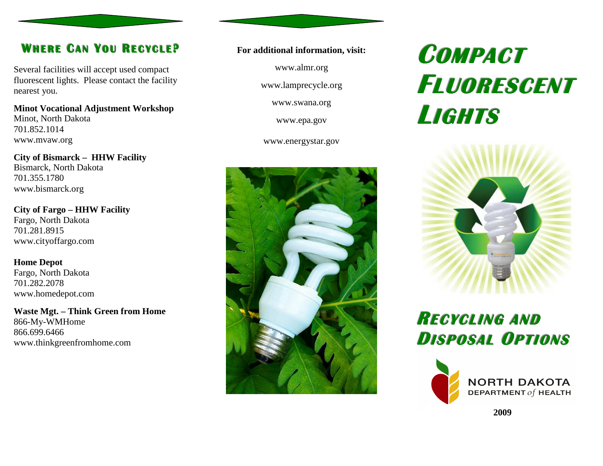## **WHHEERREE <sup>C</sup>AANN <sup>Y</sup>OOUU <sup>R</sup>EECCYYCCLLEE ?**

Several facilities will accept used compact fluorescent lights. Please contact the facility nearest you.

**Minot Vocational Adjustment Workshop** Minot, North Dakota 701.852.1014 www.mvaw.org

**City of Bismarck – HHW Facility** Bismarck, North Dakota 701.355.1780 www.bismarck.org

**City of Fargo – HHW Facility** Fargo, North Dakota 701.281.8915 www.cityoffargo.com

**Home Depot**  Fargo, North Dakota 701.282.2078 www.homedepot.com

**Waste Mgt. – Think Green from Home** 866-My-WMHome 866.699.6466 www.thinkgreenfromhome.com

#### **For additional information, visit:**

www.almr.org

www.lamprecycle.org

www.swana.org

www.epa.gov

www.energystar.gov



# **COMPACT FLUORESCENTLIGHTS**



**RECYCLING ANDDISPOSAL <sup>O</sup>PTIONS**



DEPARTMENT  $of$  HEALTH

**2009**